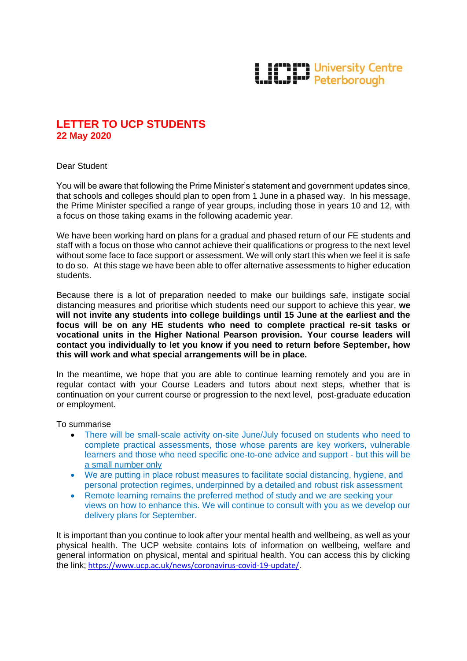## **LETTER** University Centre

## **LETTER TO UCP STUDENTS 22 May 2020**

Dear Student

You will be aware that following the Prime Minister's statement and government updates since, that schools and colleges should plan to open from 1 June in a phased way. In his message, the Prime Minister specified a range of year groups, including those in years 10 and 12, with a focus on those taking exams in the following academic year.

We have been working hard on plans for a gradual and phased return of our FE students and staff with a focus on those who cannot achieve their qualifications or progress to the next level without some face to face support or assessment. We will only start this when we feel it is safe to do so. At this stage we have been able to offer alternative assessments to higher education students.

Because there is a lot of preparation needed to make our buildings safe, instigate social distancing measures and prioritise which students need our support to achieve this year, **we will not invite any students into college buildings until 15 June at the earliest and the focus will be on any HE students who need to complete practical re-sit tasks or vocational units in the Higher National Pearson provision. Your course leaders will contact you individually to let you know if you need to return before September, how this will work and what special arrangements will be in place.** 

In the meantime, we hope that you are able to continue learning remotely and you are in regular contact with your Course Leaders and tutors about next steps, whether that is continuation on your current course or progression to the next level, post-graduate education or employment.

To summarise

- There will be small-scale activity on-site June/July focused on students who need to complete practical assessments, those whose parents are key workers, vulnerable learners and those who need specific one-to-one advice and support - but this will be a small number only
- We are putting in place robust measures to facilitate social distancing, hygiene, and personal protection regimes, underpinned by a detailed and robust risk assessment
- Remote learning remains the preferred method of study and we are seeking your views on how to enhance this. We will continue to consult with you as we develop our delivery plans for September.

It is important than you continue to look after your mental health and wellbeing, as well as your physical health. The UCP website contains lots of information on wellbeing, welfare and general information on physical, mental and spiritual health. You can access this by clicking the link; [https://www.ucp.ac.uk/news/coronavirus-covid-19-update/.](https://www.ucp.ac.uk/news/coronavirus-covid-19-update/)